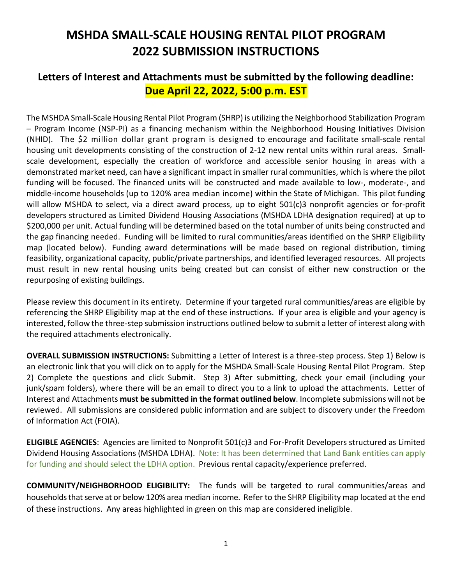# **MSHDA SMALL-SCALE HOUSING RENTAL PILOT PROGRAM 2022 SUBMISSION INSTRUCTIONS**

# **Letters of Interest and Attachments must be submitted by the following deadline: Due April 22, 2022, 5:00 p.m. EST**

The MSHDA Small-Scale Housing Rental Pilot Program (SHRP) is utilizing the Neighborhood Stabilization Program – Program Income (NSP-PI) as a financing mechanism within the Neighborhood Housing Initiatives Division (NHID). The \$2 million dollar grant program is designed to encourage and facilitate small-scale rental housing unit developments consisting of the construction of 2-12 new rental units within rural areas. Smallscale development, especially the creation of workforce and accessible senior housing in areas with a demonstrated market need, can have a significant impact in smaller rural communities, which is where the pilot funding will be focused. The financed units will be constructed and made available to low-, moderate-, and middle-income households (up to 120% area median income) within the State of Michigan. This pilot funding will allow MSHDA to select, via a direct award process, up to eight 501(c)3 nonprofit agencies or for-profit developers structured as Limited Dividend Housing Associations (MSHDA LDHA designation required) at up to \$200,000 per unit. Actual funding will be determined based on the total number of units being constructed and the gap financing needed. Funding will be limited to rural communities/areas identified on the SHRP Eligibility map (located below). Funding award determinations will be made based on regional distribution, timing feasibility, organizational capacity, public/private partnerships, and identified leveraged resources. All projects must result in new rental housing units being created but can consist of either new construction or the repurposing of existing buildings.

Please review this document in its entirety. Determine if your targeted rural communities/areas are eligible by referencing the SHRP Eligibility map at the end of these instructions. If your area is eligible and your agency is interested, follow the three-step submission instructions outlined below to submit a letter of interest along with the required attachments electronically.

**OVERALL SUBMISSION INSTRUCTIONS:** Submitting a Letter of Interest is a three-step process. Step 1) Below is an electronic link that you will click on to apply for the MSHDA Small-Scale Housing Rental Pilot Program. Step 2) Complete the questions and click Submit. Step 3) After submitting, check your email (including your junk/spam folders), where there will be an email to direct you to a link to upload the attachments. Letter of Interest and Attachments **must be submitted in the format outlined below**. Incomplete submissions will not be reviewed. All submissions are considered public information and are subject to discovery under the Freedom of Information Act (FOIA).

**ELIGIBLE AGENCIES**: Agencies are limited to Nonprofit 501(c)3 and For-Profit Developers structured as Limited Dividend Housing Associations (MSHDA LDHA). Note: It has been determined that Land Bank entities can apply for funding and should select the LDHA option. Previous rental capacity/experience preferred.

**COMMUNITY/NEIGHBORHOOD ELIGIBILITY:** The funds will be targeted to rural communities/areas and households that serve at or below 120% area median income. Refer to the SHRP Eligibility map located at the end of these instructions. Any areas highlighted in green on this map are considered ineligible.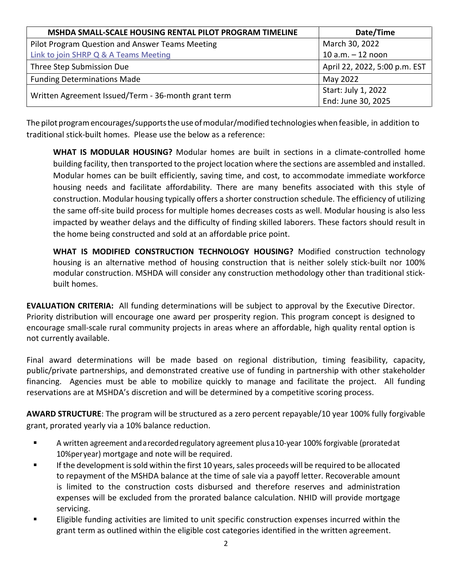| MSHDA SMALL-SCALE HOUSING RENTAL PILOT PROGRAM TIMELINE | Date/Time                     |  |
|---------------------------------------------------------|-------------------------------|--|
| Pilot Program Question and Answer Teams Meeting         | March 30, 2022                |  |
| <b>Link to join SHRP Q &amp; A Teams Meeting</b>        | $10 a.m. - 12 noon$           |  |
| Three Step Submission Due                               | April 22, 2022, 5:00 p.m. EST |  |
| <b>Funding Determinations Made</b>                      | May 2022                      |  |
| Written Agreement Issued/Term - 36-month grant term     | Start: July 1, 2022           |  |
|                                                         | End: June 30, 2025            |  |

The pilot programencourages/supportsthe use ofmodular/modified technologieswhen feasible, in addition to traditional stick-built homes. Please use the below as a reference:

**WHAT IS MODULAR HOUSING?** Modular homes are built in sections in a climate-controlled home building facility, then transported to the project location where the sections are assembled and installed. Modular homes can be built efficiently, saving time, and cost, to accommodate immediate workforce housing needs and facilitate affordability. There are many benefits associated with this style of construction. Modular housing typically offers a shorter construction schedule. The efficiency of utilizing the same off-site build process for multiple homes decreases costs as well. Modular housing is also less impacted by weather delays and the difficulty of finding skilled laborers. These factors should result in the home being constructed and sold at an affordable price point.

**WHAT IS MODIFIED CONSTRUCTION TECHNOLOGY HOUSING?** Modified construction technology housing is an alternative method of housing construction that is neither solely stick-built nor 100% modular construction. MSHDA will consider any construction methodology other than traditional stickbuilt homes.

**EVALUATION CRITERIA:** All funding determinations will be subject to approval by the Executive Director. Priority distribution will encourage one award per prosperity region. This program concept is designed to encourage small-scale rural community projects in areas where an affordable, high quality rental option is not currently available.

Final award determinations will be made based on regional distribution, timing feasibility, capacity, public/private partnerships, and demonstrated creative use of funding in partnership with other stakeholder financing. Agencies must be able to mobilize quickly to manage and facilitate the project. All funding reservations are at MSHDA's discretion and will be determined by a competitive scoring process.

**AWARD STRUCTURE**: The program will be structured as a zero percent repayable/10 year 100% fully forgivable grant, prorated yearly via a 10% balance reduction.

- A written agreement andarecordedregulatory agreement plusa10-year 100% forgivable (proratedat 10%peryear) mortgage and note will be required.
- If the development is sold within the first 10 years, sales proceeds will be required to be allocated to repayment of the MSHDA balance at the time of sale via a payoff letter. Recoverable amount is limited to the construction costs disbursed and therefore reserves and administration expenses will be excluded from the prorated balance calculation. NHID will provide mortgage servicing.
- **Eligible funding activities are limited to unit specific construction expenses incurred within the** grant term as outlined within the eligible cost categories identified in the written agreement.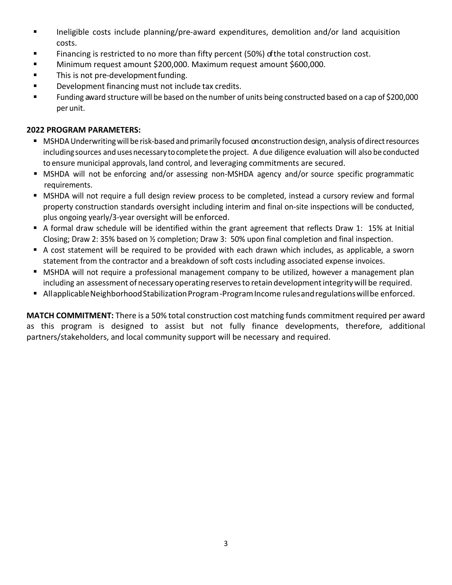- Ineligible costs include planning/pre-award expenditures, demolition and/or land acquisition costs.
- Financing is restricted to no more than fifty percent (50%) of the total construction cost.
- Minimum request amount \$200,000. Maximum request amount \$600,000.
- **This is not pre-development funding.**
- **Development financing must not include tax credits.**
- Funding award structure will be based on the number of units being constructed based on a cap of \$200,000 per unit.

# **2022 PROGRAM PARAMETERS:**

- MSHDA Underwriting will be risk-based and primarily focused on construction design, analysis of direct resources including sources and uses necessary to complete the project. A due diligence evaluation will also be conducted to ensure municipal approvals, land control, and leveraging commitments are secured.
- MSHDA will not be enforcing and/or assessing non-MSHDA agency and/or source specific programmatic requirements.
- MSHDA will not require a full design review process to be completed, instead a cursory review and formal property construction standards oversight including interim and final on-site inspections will be conducted, plus ongoing yearly/3-year oversight will be enforced.
- A formal draw schedule will be identified within the grant agreement that reflects Draw 1: 15% at Initial Closing; Draw 2: 35% based on ½ completion; Draw 3: 50% upon final completion and final inspection.
- A cost statement will be required to be provided with each drawn which includes, as applicable, a sworn statement from the contractor and a breakdown of soft costs including associated expense invoices.
- MSHDA will not require a professional management company to be utilized, however a management plan including an assessment of necessary operating reserves to retain development integrity will be required.
- Allapplicable Neighborhood Stabilization Program-Program Income rules and regulations will be enforced.

**MATCH COMMITMENT:** There is a 50% total construction cost matching funds commitment required per award as this program is designed to assist but not fully finance developments, therefore, additional partners/stakeholders, and local community support will be necessary and required.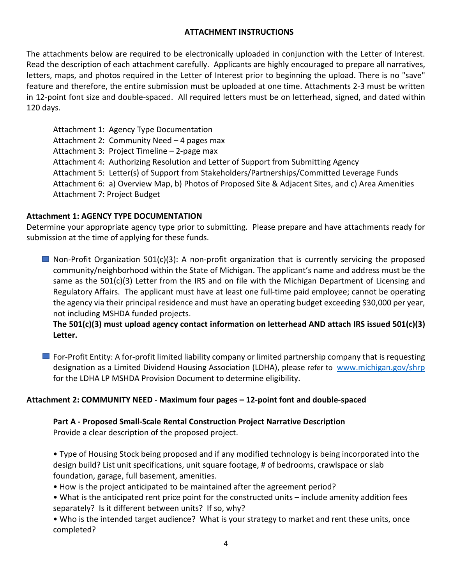# **ATTACHMENT INSTRUCTIONS**

The attachments below are required to be electronically uploaded in conjunction with the Letter of Interest. Read the description of each attachment carefully. Applicants are highly encouraged to prepare all narratives, letters, maps, and photos required in the Letter of Interest prior to beginning the upload. There is no "save" feature and therefore, the entire submission must be uploaded at one time. Attachments 2-3 must be written in 12-point font size and double-spaced. All required letters must be on letterhead, signed, and dated within 120 days.

Attachment 1: Agency Type Documentation Attachment 2: Community Need – 4 pages max Attachment 3: Project Timeline – 2-page max Attachment 4: Authorizing Resolution and Letter of Support from Submitting Agency Attachment 5: Letter(s) of Support from Stakeholders/Partnerships/Committed Leverage Funds Attachment 6: a) Overview Map, b) Photos of Proposed Site & Adjacent Sites, and c) Area Amenities Attachment 7: Project Budget

## **Attachment 1: AGENCY TYPE DOCUMENTATION**

Determine your appropriate agency type prior to submitting. Please prepare and have attachments ready for submission at the time of applying for these funds.

**Non-Profit Organization 501(c)(3):** A non-profit organization that is currently servicing the proposed community/neighborhood within the State of Michigan. The applicant's name and address must be the same as the 501(c)(3) Letter from the IRS and on file with the Michigan Department of Licensing and Regulatory Affairs. The applicant must have at least one full-time paid employee; cannot be operating the agency via their principal residence and must have an operating budget exceeding \$30,000 per year, not including MSHDA funded projects.

# **The 501(c)(3) must upload agency contact information on letterhead AND attach IRS issued 501(c)(3) Letter.**

 $\blacksquare$  For-Profit Entity: A for-profit limited liability company or limited partnership company that is requesting designation as a Limited Dividend Housing Association (LDHA), please refer to [www.michigan.gov/shrp](http://www.michigan.gov/shrp) for the LDHA LP MSHDA Provision Document to determine eligibility.

# **Attachment 2: COMMUNITY NEED - Maximum four pages – 12-point font and double-spaced**

#### **Part A - Proposed Small-Scale Rental Construction Project Narrative Description**

Provide a clear description of the proposed project.

• Type of Housing Stock being proposed and if any modified technology is being incorporated into the design build? List unit specifications, unit square footage, # of bedrooms, crawlspace or slab foundation, garage, full basement, amenities.

• How is the project anticipated to be maintained after the agreement period?

• What is the anticipated rent price point for the constructed units – include amenity addition fees separately? Is it different between units? If so, why?

• Who is the intended target audience? What is your strategy to market and rent these units, once completed?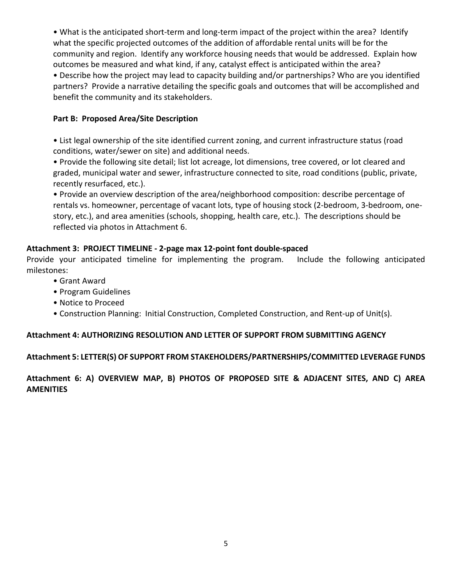• What is the anticipated short-term and long-term impact of the project within the area? Identify what the specific projected outcomes of the addition of affordable rental units will be for the community and region. Identify any workforce housing needs that would be addressed. Explain how outcomes be measured and what kind, if any, catalyst effect is anticipated within the area?

• Describe how the project may lead to capacity building and/or partnerships? Who are you identified partners? Provide a narrative detailing the specific goals and outcomes that will be accomplished and benefit the community and its stakeholders.

# **Part B: Proposed Area/Site Description**

• List legal ownership of the site identified current zoning, and current infrastructure status (road conditions, water/sewer on site) and additional needs.

• Provide the following site detail; list lot acreage, lot dimensions, tree covered, or lot cleared and graded, municipal water and sewer, infrastructure connected to site, road conditions (public, private, recently resurfaced, etc.).

• Provide an overview description of the area/neighborhood composition: describe percentage of rentals vs. homeowner, percentage of vacant lots, type of housing stock (2-bedroom, 3-bedroom, onestory, etc.), and area amenities (schools, shopping, health care, etc.). The descriptions should be reflected via photos in Attachment 6.

## **Attachment 3: PROJECT TIMELINE - 2-page max 12-point font double-spaced**

Provide your anticipated timeline for implementing the program. Include the following anticipated milestones:

- Grant Award
- Program Guidelines
- Notice to Proceed
- Construction Planning: Initial Construction, Completed Construction, and Rent-up of Unit(s).

# **Attachment 4: AUTHORIZING RESOLUTION AND LETTER OF SUPPORT FROM SUBMITTING AGENCY**

# **Attachment 5: LETTER(S) OF SUPPORT FROM STAKEHOLDERS/PARTNERSHIPS/COMMITTED LEVERAGE FUNDS**

**Attachment 6: A) OVERVIEW MAP, B) PHOTOS OF PROPOSED SITE & ADJACENT SITES, AND C) AREA AMENITIES**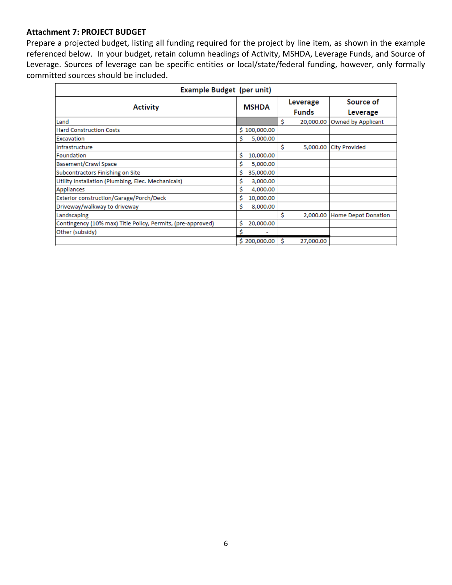#### **Attachment 7: PROJECT BUDGET**

Prepare a projected budget, listing all funding required for the project by line item, as shown in the example referenced below. In your budget, retain column headings of Activity, MSHDA, Leverage Funds, and Source of Leverage. Sources of leverage can be specific entities or local/state/federal funding, however, only formally committed sources should be included.

| Example Budget (per unit)                                   |                 |    |                          |                              |
|-------------------------------------------------------------|-----------------|----|--------------------------|------------------------------|
| <b>Activity</b>                                             | <b>MSHDA</b>    |    | Leverage<br><b>Funds</b> | Source of<br>Leverage        |
| Land                                                        |                 | \$ | 20,000.00                | Owned by Applicant           |
| <b>Hard Construction Costs</b>                              | \$100,000.00    |    |                          |                              |
| Excavation                                                  | Ś<br>5,000.00   |    |                          |                              |
| Infrastructure                                              |                 | \$ |                          | 5,000.00 City Provided       |
| Foundation                                                  | Ś<br>10,000.00  |    |                          |                              |
| Basement/Crawl Space                                        | Ŝ<br>5,000.00   |    |                          |                              |
| Subcontractors Finishing on Site                            | \$<br>35,000.00 |    |                          |                              |
| Utility Installation (Plumbing, Elec. Mechanicals)          | \$<br>3,000.00  |    |                          |                              |
| Appliances                                                  | \$.<br>4,000.00 |    |                          |                              |
| Exterior construction/Garage/Porch/Deck                     | Ś<br>10,000.00  |    |                          |                              |
| Driveway/walkway to driveway                                | \$<br>8,000.00  |    |                          |                              |
| Landscaping                                                 |                 | \$ |                          | 2,000.00 Home Depot Donation |
| Contingency (10% max) Title Policy, Permits, (pre-approved) | Ś<br>20,000.00  |    |                          |                              |
| Other (subsidy)                                             | \$              |    |                          |                              |
|                                                             | \$200,000.00    | \$ | 27,000.00                |                              |